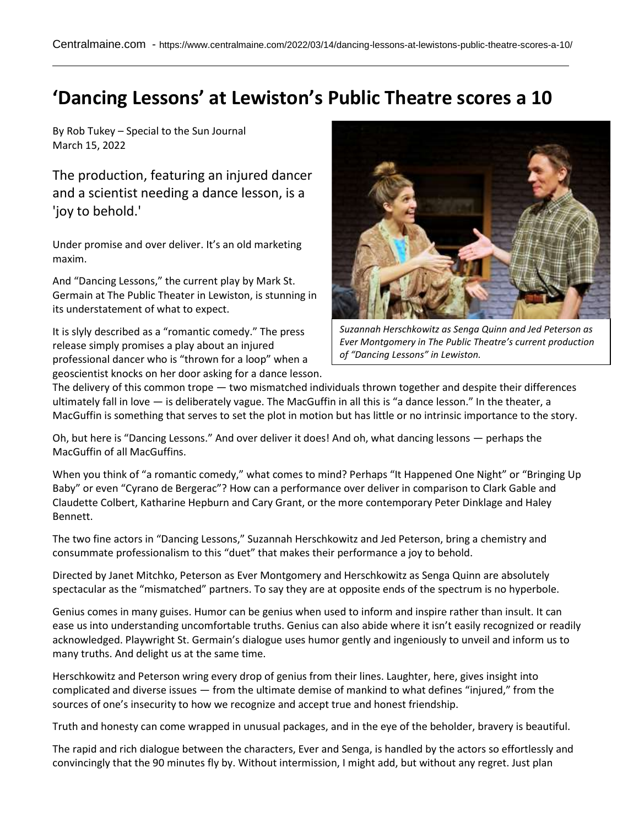## **'Dancing Lessons' at Lewiston's Public Theatre scores a 10**

By Rob Tukey – Special to the Sun Journal March 15, 2022

The production, featuring an injured dancer and a scientist needing a dance lesson, is a 'joy to behold.'

Under promise and over deliver. It's an old marketing maxim.

And "Dancing Lessons," the current play by Mark St. Germain at The Public Theater in Lewiston, is stunning in its understatement of what to expect.

It is slyly described as a "romantic comedy." The press release simply promises a play about an injured professional dancer who is "thrown for a loop" when a geoscientist knocks on her door asking for a dance lesson.



*Suzannah Herschkowitz as Senga Quinn and Jed Peterson as Ever Montgomery in The Public Theatre's current production of "Dancing Lessons" in Lewiston.*

The delivery of this common trope — two mismatched individuals thrown together and despite their differences ultimately fall in love — is deliberately vague. The MacGuffin in all this is "a dance lesson." In the theater, a MacGuffin is something that serves to set the plot in motion but has little or no intrinsic importance to the story.

Oh, but here is "Dancing Lessons." And over deliver it does! And oh, what dancing lessons — perhaps the MacGuffin of all MacGuffins.

When you think of "a romantic comedy," what comes to mind? Perhaps "It Happened One Night" or "Bringing Up Baby" or even "Cyrano de Bergerac"? How can a performance over deliver in comparison to Clark Gable and Claudette Colbert, Katharine Hepburn and Cary Grant, or the more contemporary Peter Dinklage and Haley Bennett.

The two fine actors in "Dancing Lessons," Suzannah Herschkowitz and Jed Peterson, bring a chemistry and consummate professionalism to this "duet" that makes their performance a joy to behold.

Directed by Janet Mitchko, Peterson as Ever Montgomery and Herschkowitz as Senga Quinn are absolutely spectacular as the "mismatched" partners. To say they are at opposite ends of the spectrum is no hyperbole.

Genius comes in many guises. Humor can be genius when used to inform and inspire rather than insult. It can ease us into understanding uncomfortable truths. Genius can also abide where it isn't easily recognized or readily acknowledged. Playwright St. Germain's dialogue uses humor gently and ingeniously to unveil and inform us to many truths. And delight us at the same time.

Herschkowitz and Peterson wring every drop of genius from their lines. Laughter, here, gives insight into complicated and diverse issues — from the ultimate demise of mankind to what defines "injured," from the sources of one's insecurity to how we recognize and accept true and honest friendship.

Truth and honesty can come wrapped in unusual packages, and in the eye of the beholder, bravery is beautiful.

The rapid and rich dialogue between the characters, Ever and Senga, is handled by the actors so effortlessly and convincingly that the 90 minutes fly by. Without intermission, I might add, but without any regret. Just plan